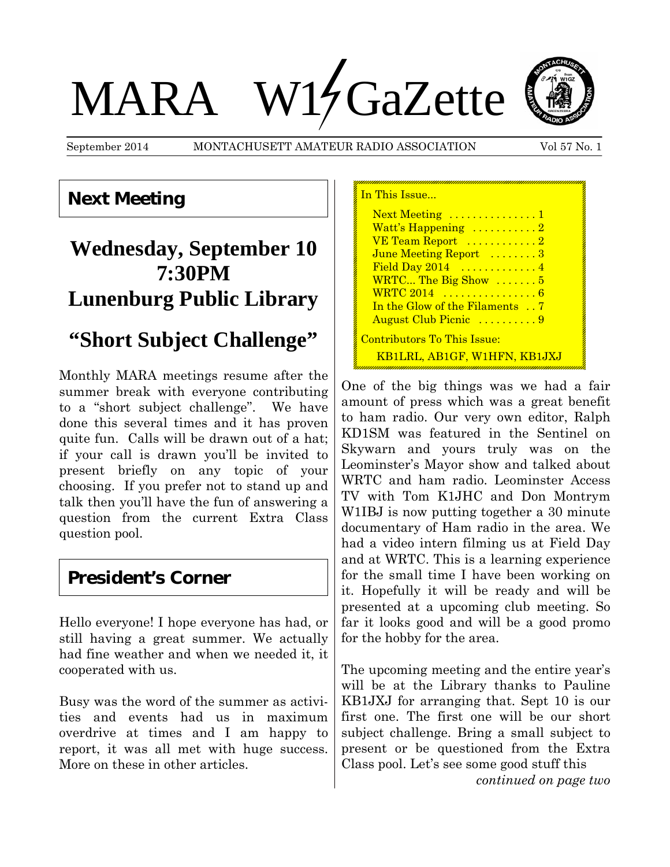# MARA W14 GaZette



September 2014 MONTACHUSETT AMATEUR RADIO ASSOCIATION Vol 57 No. 1

## **Next Meeting**

# **Wednesday, September 10 7:30PM Lunenburg Public Library**

# **"Short Subject Challenge"**

Monthly MARA meetings resume after the summer break with everyone contributing to a "short subject challenge". We have done this several times and it has proven quite fun. Calls will be drawn out of a hat; if your call is drawn you'll be invited to present briefly on any topic of your choosing. If you prefer not to stand up and talk then you'll have the fun of answering a question from the current Extra Class question pool.

## **President's Corner**

Hello everyone! I hope everyone has had, or still having a great summer. We actually had fine weather and when we needed it, it cooperated with us.

Busy was the word of the summer as activities and events had us in maximum overdrive at times and I am happy to report, it was all met with huge success. More on these in other articles.

In This Issue... Next Meeting ..............1 Watt's Happening  $\dots\dots\dots2$ VE Team Report ...........2 June Meeting Report .......3 Field Day 2014 ..............4 WRTC... The Big Show ....... 5 WRTC 2014 ................6 In the Glow of the Filaments . . 7 August Club Picnic ..........9 Contributors To This Issue: KB1LRL, AB1GF, W1HFN, KB1JXJ

One of the big things was we had a fair amount of press which was a great benefit to ham radio. Our very own editor, Ralph KD1SM was featured in the Sentinel on Skywarn and yours truly was on the Leominster's Mayor show and talked about WRTC and ham radio. Leominster Access TV with Tom K1JHC and Don Montrym W1IBJ is now putting together a 30 minute documentary of Ham radio in the area. We had a video intern filming us at Field Day and at WRTC. This is a learning experience for the small time I have been working on it. Hopefully it will be ready and will be presented at a upcoming club meeting. So far it looks good and will be a good promo for the hobby for the area.

The upcoming meeting and the entire year's will be at the Library thanks to Pauline KB1JXJ for arranging that. Sept 10 is our first one. The first one will be our short subject challenge. Bring a small subject to present or be questioned from the Extra Class pool. Let's see some good stuff this

*continued on page two*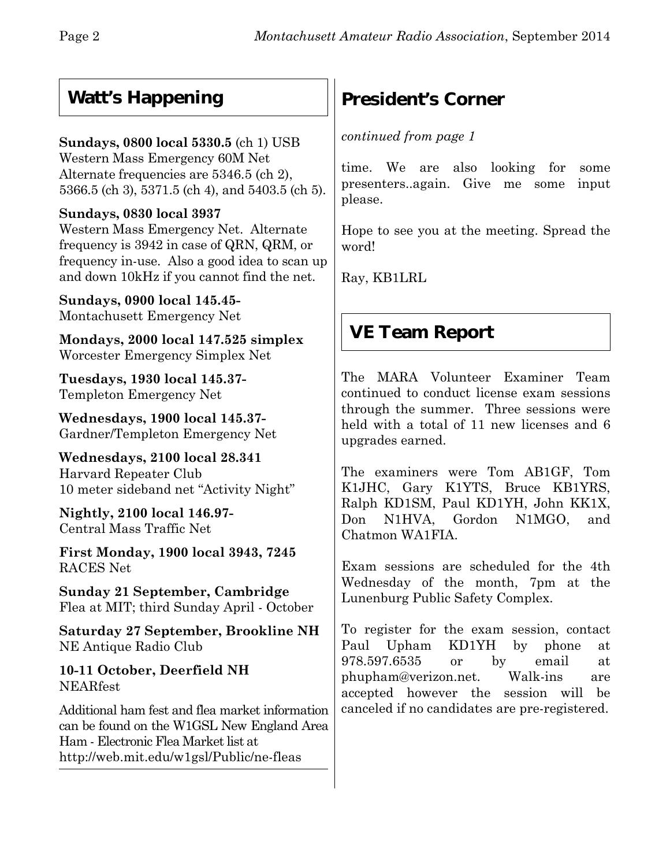# **Watt's Happening**

## **Sundays, 0800 local 5330.5** (ch 1) USB

Western Mass Emergency 60M Net Alternate frequencies are 5346.5 (ch 2), 5366.5 (ch 3), 5371.5 (ch 4), and 5403.5 (ch 5).

### **Sundays, 0830 local 3937**

Western Mass Emergency Net. Alternate frequency is 3942 in case of QRN, QRM, or frequency in-use. Also a good idea to scan up and down 10kHz if you cannot find the net.

**Sundays, 0900 local 145.45-** Montachusett Emergency Net

**Mondays, 2000 local 147.525 simplex** Worcester Emergency Simplex Net

**Tuesdays, 1930 local 145.37-** Templeton Emergency Net

**Wednesdays, 1900 local 145.37-** Gardner/Templeton Emergency Net

**Wednesdays, 2100 local 28.341** Harvard Repeater Club 10 meter sideband net "Activity Night"

**Nightly, 2100 local 146.97-** Central Mass Traffic Net

**First Monday, 1900 local 3943, 7245** RACES Net

**Sunday 21 September, Cambridge** Flea at MIT; third Sunday April - October

**Saturday 27 September, Brookline NH** NE Antique Radio Club

**10-11 October, Deerfield NH** NEARfest

Additional ham fest and flea market information can be found on the W1GSL New England Area Ham - Electronic Flea Market list at http://web.mit.edu/w1gsl/Public/ne-fleas

# **President's Corner**

*continued from page 1*

time. We are also looking for some presenters..again. Give me some input please.

Hope to see you at the meeting. Spread the word!

Ray, KB1LRL

# **VE Team Report**

The MARA Volunteer Examiner Team continued to conduct license exam sessions through the summer. Three sessions were held with a total of 11 new licenses and 6 upgrades earned.

The examiners were Tom AB1GF, Tom K1JHC, Gary K1YTS, Bruce KB1YRS, Ralph KD1SM, Paul KD1YH, John KK1X, Don N1HVA, Gordon N1MGO, and Chatmon WA1FIA.

Exam sessions are scheduled for the 4th Wednesday of the month, 7pm at the Lunenburg Public Safety Complex.

To register for the exam session, contact Paul Upham KD1YH by phone at 978.597.6535 or by email at phupham@verizon.net. Walk-ins are accepted however the session will be canceled if no candidates are pre-registered.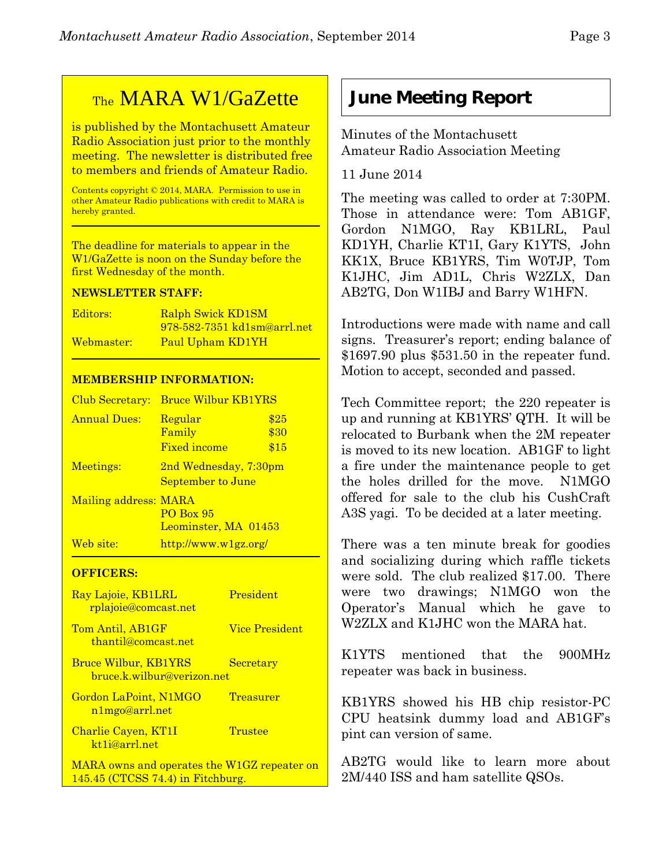## TheMARA W1/GaZette

is published by the Montachusett Amateur Radio Association just prior to the monthly meeting. The newsletter is distributed free to members and friends of Amateur Radio.

Contents copyright © 2014, MARA. Permission to use in other Amateur Radio publications with credit to MARA is hereby granted.

The deadline for materials to appear in the W1/GaZette is noon on the Sunday before the first Wednesday of the month.

#### **NEWSLETTER STAFF:**

| Editors:   | Ralph Swick KD1SM                  |
|------------|------------------------------------|
|            | <u>978-582-7351 kd1sm@arrl.net</u> |
| Webmaster: | Paul Upham KD1YH                   |

#### **MEMBERSHIP INFORMATION:**

| Club Secretary:       | <b>Bruce Wilbur KB1YRS</b>                          |                      |
|-----------------------|-----------------------------------------------------|----------------------|
| <b>Annual Dues:</b>   | Regular<br>Family<br><b>Fixed income</b>            | \$25<br>\$30<br>\$15 |
| Meetings:             | 2nd Wednesday, 7:30pm<br>September to June          |                      |
| Mailing address: MARA | <b>PO Box 95</b><br>Leominster, MA 01453            |                      |
| Web site:             | $\frac{http://www.w1gz.org/}{http://www.w1gz.org/}$ |                      |

#### **OFFICERS:**

| Ray Lajoie, KB1LRL<br><u>rplajoie@comcast.net</u>                                  | President             |
|------------------------------------------------------------------------------------|-----------------------|
| Tom Antil, AB1GF<br>thantil@comcast.net                                            | <b>Vice President</b> |
| <b>Bruce Wilbur, KB1YRS</b><br>bruce.k.wilbur@verizon.net                          | Secretary             |
| Gordon LaPoint, N1MGO<br>n1mgo@arrl.net                                            | <b>Treasurer</b>      |
| Charlie Cayen, KT1I<br>kt1j@arrl.net                                               | Trustee               |
| MARA owns and operates the W1GZ repeater on<br>$145.45$ (CTCSS 74.4) in Fitchburg. |                       |

## **June Meeting Report**

Minutes of the Montachusett Amateur Radio Association Meeting

11 June 2014

The meeting was called to order at 7:30PM. Those in attendance were: Tom AB1GF, Gordon N1MGO, Ray KB1LRL, Paul KD1YH, Charlie KT1I, Gary K1YTS, John KK1X, Bruce KB1YRS, Tim W0TJP, Tom K1JHC, Jim AD1L, Chris W2ZLX, Dan AB2TG, Don W1IBJ and Barry W1HFN.

Introductions were made with name and call signs. Treasurer's report; ending balance of \$1697.90 plus \$531.50 in the repeater fund. Motion to accept, seconded and passed.

Tech Committee report; the 220 repeater is up and running at KB1YRS' QTH. It will be relocated to Burbank when the 2M repeater is moved to its new location. AB1GF to light a fire under the maintenance people to get the holes drilled for the move. N1MGO offered for sale to the club his CushCraft A3S yagi. To be decided at a later meeting.

There was a ten minute break for goodies and socializing during which raffle tickets were sold. The club realized \$17.00. There were two drawings; N1MGO won the Operator's Manual which he gave to W2ZLX and K1JHC won the MARA hat.

K1YTS mentioned that the 900MHz repeater was back in business.

KB1YRS showed his HB chip resistor-PC CPU heatsink dummy load and AB1GF's pint can version of same.

AB2TG would like to learn more about 2M/440 ISS and ham satellite QSOs.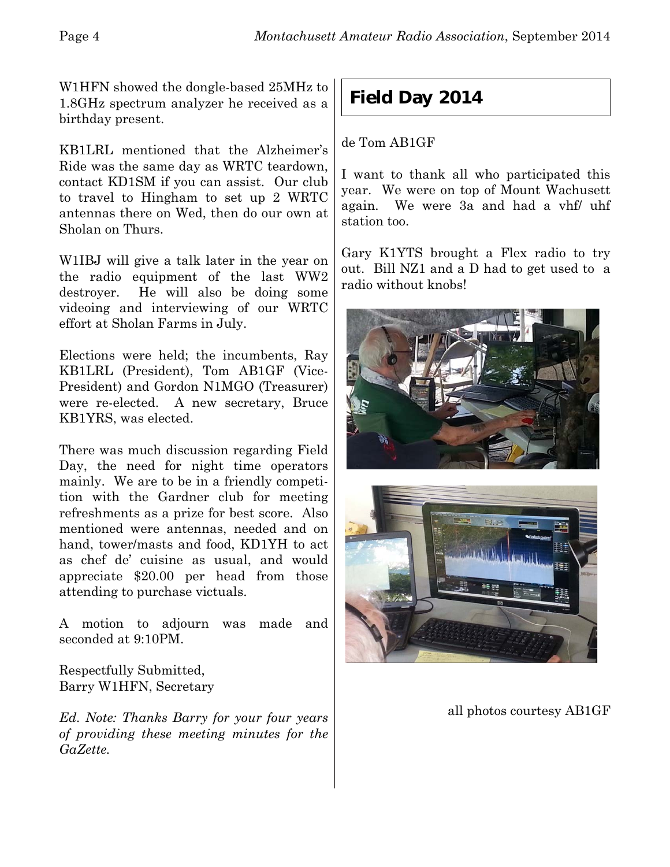W1HFN showed the dongle-based 25MHz to 1.8GHz spectrum analyzer he received as a birthday present.

KB1LRL mentioned that the Alzheimer's Ride was the same day as WRTC teardown, contact KD1SM if you can assist. Our club to travel to Hingham to set up 2 WRTC antennas there on Wed, then do our own at Sholan on Thurs.

W1IBJ will give a talk later in the year on the radio equipment of the last WW2 destroyer. He will also be doing some videoing and interviewing of our WRTC effort at Sholan Farms in July.

Elections were held; the incumbents, Ray KB1LRL (President), Tom AB1GF (Vice-President) and Gordon N1MGO (Treasurer) were re-elected. A new secretary, Bruce KB1YRS, was elected.

There was much discussion regarding Field Day, the need for night time operators mainly. We are to be in a friendly competition with the Gardner club for meeting refreshments as a prize for best score. Also mentioned were antennas, needed and on hand, tower/masts and food, KD1YH to act as chef de' cuisine as usual, and would appreciate \$20.00 per head from those attending to purchase victuals.

A motion to adjourn was made and seconded at 9:10PM.

Respectfully Submitted, Barry W1HFN, Secretary

*Ed. Note: Thanks Barry for your four years of providing these meeting minutes for the GaZette.*

## **Field Day 2014**

de Tom AB1GF

I want to thank all who participated this year. We were on top of Mount Wachusett again. We were 3a and had a vhf/ uhf station too.

Gary K1YTS brought a Flex radio to try out. Bill NZ1 and a D had to get used to a radio without knobs!





all photos courtesy AB1GF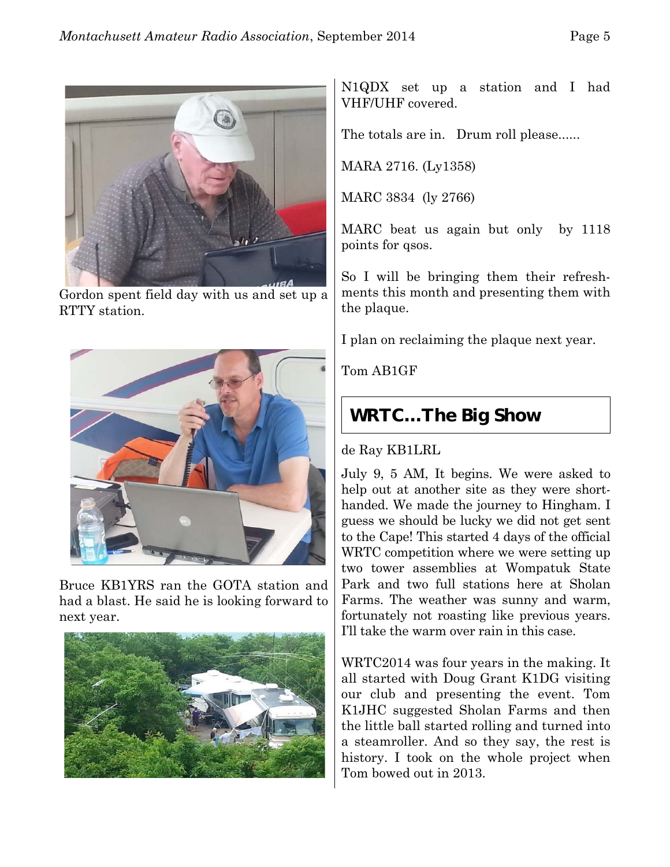

Gordon spent field day with us and set up a RTTY station.



Bruce KB1YRS ran the GOTA station and had a blast. He said he is looking forward to next year.



N1QDX set up a station and I had VHF/UHF covered.

The totals are in. Drum roll please......

MARA 2716. (Ly1358)

MARC 3834 (ly 2766)

MARC beat us again but only by 1118 points for qsos.

So I will be bringing them their refreshments this month and presenting them with the plaque.

I plan on reclaiming the plaque next year.

Tom AB1GF

## **WRTC…The Big Show**

#### de Ray KB1LRL

July 9, 5 AM, It begins. We were asked to help out at another site as they were shorthanded. We made the journey to Hingham. I guess we should be lucky we did not get sent to the Cape! This started 4 days of the official WRTC competition where we were setting up two tower assemblies at Wompatuk State Park and two full stations here at Sholan Farms. The weather was sunny and warm, fortunately not roasting like previous years. I'll take the warm over rain in this case.

WRTC2014 was four years in the making. It all started with Doug Grant K1DG visiting our club and presenting the event. Tom K1JHC suggested Sholan Farms and then the little ball started rolling and turned into a steamroller. And so they say, the rest is history. I took on the whole project when Tom bowed out in 2013.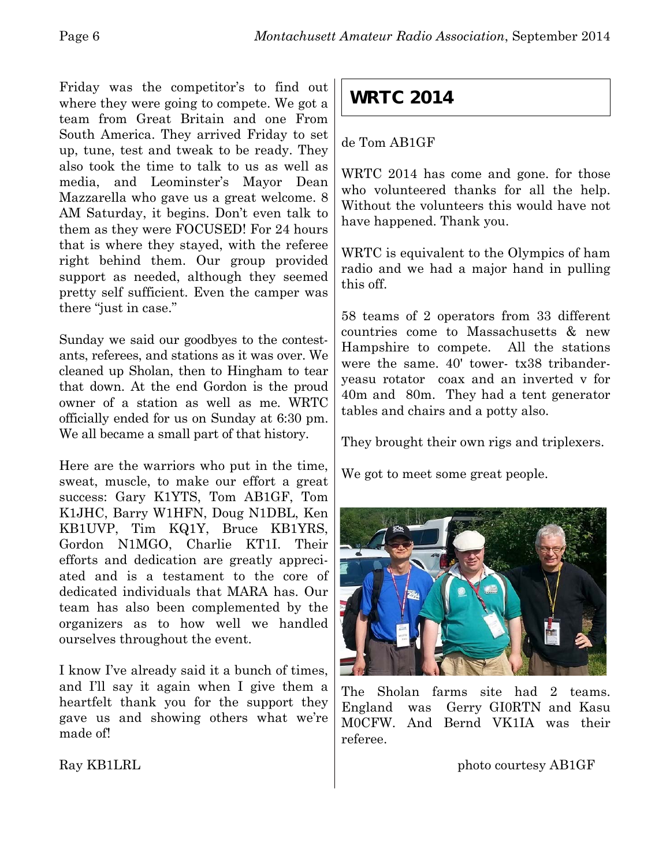Friday was the competitor's to find out where they were going to compete. We got a team from Great Britain and one From South America. They arrived Friday to set up, tune, test and tweak to be ready. They also took the time to talk to us as well as media, and Leominster's Mayor Dean Mazzarella who gave us a great welcome. 8 AM Saturday, it begins. Don't even talk to them as they were FOCUSED! For 24 hours that is where they stayed, with the referee right behind them. Our group provided support as needed, although they seemed pretty self sufficient. Even the camper was there "just in case."

Sunday we said our goodbyes to the contestants, referees, and stations as it was over. We cleaned up Sholan, then to Hingham to tear that down. At the end Gordon is the proud owner of a station as well as me. WRTC officially ended for us on Sunday at 6:30 pm. We all became a small part of that history.

Here are the warriors who put in the time, sweat, muscle, to make our effort a great success: Gary K1YTS, Tom AB1GF, Tom K1JHC, Barry W1HFN, Doug N1DBL, Ken KB1UVP, Tim KQ1Y, Bruce KB1YRS, Gordon N1MGO, Charlie KT1I. Their efforts and dedication are greatly appreciated and is a testament to the core of dedicated individuals that MARA has. Our team has also been complemented by the organizers as to how well we handled ourselves throughout the event.

I know I've already said it a bunch of times, and I'll say it again when I give them a heartfelt thank you for the support they gave us and showing others what we're made of!

## **WRTC 2014**

#### de Tom AB1GF

WRTC 2014 has come and gone. for those who volunteered thanks for all the help. Without the volunteers this would have not have happened. Thank you.

WRTC is equivalent to the Olympics of ham radio and we had a major hand in pulling this off.

58 teams of 2 operators from 33 different countries come to Massachusetts & new Hampshire to compete. All the stations were the same. 40' tower- tx38 tribanderyeasu rotator coax and an inverted v for 40m and 80m. They had a tent generator tables and chairs and a potty also.

They brought their own rigs and triplexers.

We got to meet some great people.



The Sholan farms site had 2 teams. England was Gerry GI0RTN and Kasu M0CFW. And Bernd VK1IA was their referee.

photo courtesy AB1GF

Ray KB1LRL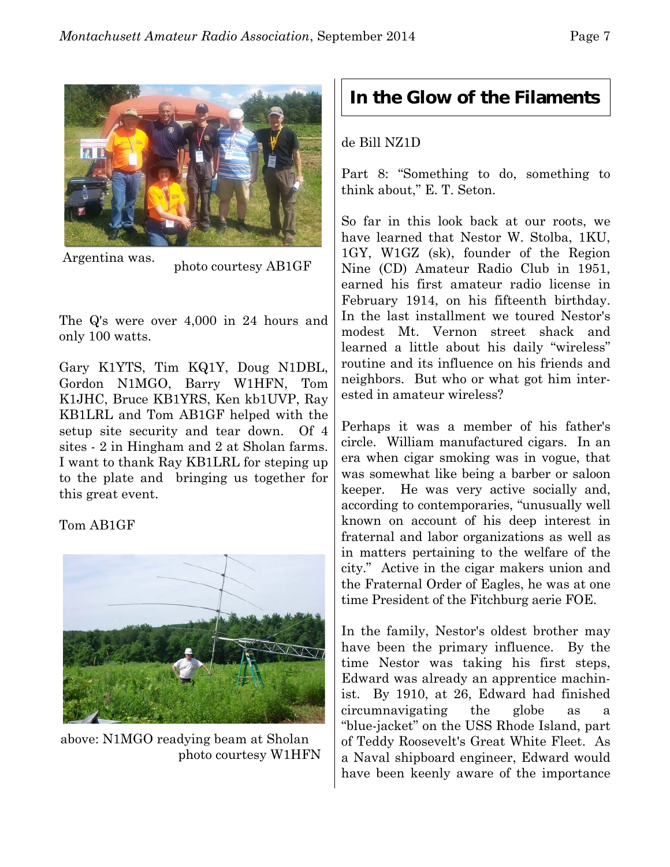

 Argentina was. photo courtesy AB1GF

The Q's were over 4,000 in 24 hours and only 100 watts.

Gary K1YTS, Tim KQ1Y, Doug N1DBL, Gordon N1MGO, Barry W1HFN, Tom K1JHC, Bruce KB1YRS, Ken kb1UVP, Ray KB1LRL and Tom AB1GF helped with the setup site security and tear down. Of 4 sites - 2 in Hingham and 2 at Sholan farms. I want to thank Ray KB1LRL for steping up to the plate and bringing us together for this great event.

Tom AB1GF



above: N1MGO readying beam at Sholan photo courtesy W1HFN

## **In the Glow of the Filaments**

#### de Bill NZ1D

Part 8: "Something to do, something to think about," E. T. Seton.

So far in this look back at our roots, we have learned that Nestor W. Stolba, 1KU, 1GY, W1GZ (sk), founder of the Region Nine (CD) Amateur Radio Club in 1951, earned his first amateur radio license in February 1914, on his fifteenth birthday. In the last installment we toured Nestor's modest Mt. Vernon street shack and learned a little about his daily "wireless" routine and its influence on his friends and neighbors. But who or what got him interested in amateur wireless?

Perhaps it was a member of his father's circle. William manufactured cigars. In an era when cigar smoking was in vogue, that was somewhat like being a barber or saloon keeper. He was very active socially and, according to contemporaries, "unusually well known on account of his deep interest in fraternal and labor organizations as well as in matters pertaining to the welfare of the city." Active in the cigar makers union and the Fraternal Order of Eagles, he was at one time President of the Fitchburg aerie FOE.

In the family, Nestor's oldest brother may have been the primary influence. By the time Nestor was taking his first steps, Edward was already an apprentice machinist. By 1910, at 26, Edward had finished circumnavigating the globe as "blue-jacket" on the USS Rhode Island, part of Teddy Roosevelt's Great White Fleet. As a Naval shipboard engineer, Edward would have been keenly aware of the importance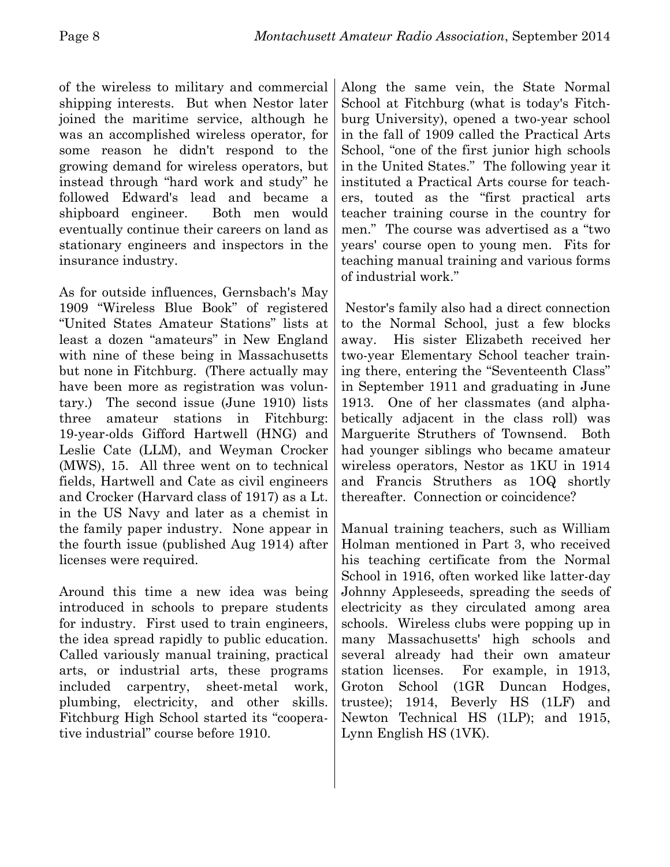of the wireless to military and commercial shipping interests. But when Nestor later joined the maritime service, although he was an accomplished wireless operator, for some reason he didn't respond to the growing demand for wireless operators, but instead through "hard work and study" he followed Edward's lead and became a shipboard engineer. Both men would eventually continue their careers on land as stationary engineers and inspectors in the insurance industry.

As for outside influences, Gernsbach's May 1909 "Wireless Blue Book" of registered "United States Amateur Stations" lists at least a dozen "amateurs" in New England with nine of these being in Massachusetts but none in Fitchburg. (There actually may have been more as registration was voluntary.) The second issue (June 1910) lists three amateur stations in Fitchburg: 19-year-olds Gifford Hartwell (HNG) and Leslie Cate (LLM), and Weyman Crocker (MWS), 15. All three went on to technical fields, Hartwell and Cate as civil engineers and Crocker (Harvard class of 1917) as a Lt. in the US Navy and later as a chemist in the family paper industry. None appear in the fourth issue (published Aug 1914) after licenses were required.

Around this time a new idea was being introduced in schools to prepare students for industry. First used to train engineers, the idea spread rapidly to public education. Called variously manual training, practical arts, or industrial arts, these programs included carpentry, sheet-metal work, plumbing, electricity, and other skills. Fitchburg High School started its "cooperative industrial" course before 1910.

Along the same vein, the State Normal School at Fitchburg (what is today's Fitchburg University), opened a two-year school in the fall of 1909 called the Practical Arts School, "one of the first junior high schools in the United States." The following year it instituted a Practical Arts course for teachers, touted as the "first practical arts teacher training course in the country for men." The course was advertised as a "two years' course open to young men. Fits for teaching manual training and various forms of industrial work."

 Nestor's family also had a direct connection to the Normal School, just a few blocks away. His sister Elizabeth received her two-year Elementary School teacher training there, entering the "Seventeenth Class" in September 1911 and graduating in June 1913. One of her classmates (and alphabetically adjacent in the class roll) was Marguerite Struthers of Townsend. Both had younger siblings who became amateur wireless operators, Nestor as 1KU in 1914 and Francis Struthers as 1OQ shortly thereafter. Connection or coincidence?

Manual training teachers, such as William Holman mentioned in Part 3, who received his teaching certificate from the Normal School in 1916, often worked like latter-day Johnny Appleseeds, spreading the seeds of electricity as they circulated among area schools. Wireless clubs were popping up in many Massachusetts' high schools and several already had their own amateur station licenses. For example, in 1913, Groton School (1GR Duncan Hodges, trustee); 1914, Beverly HS (1LF) and Newton Technical HS (1LP); and 1915, Lynn English HS (1VK).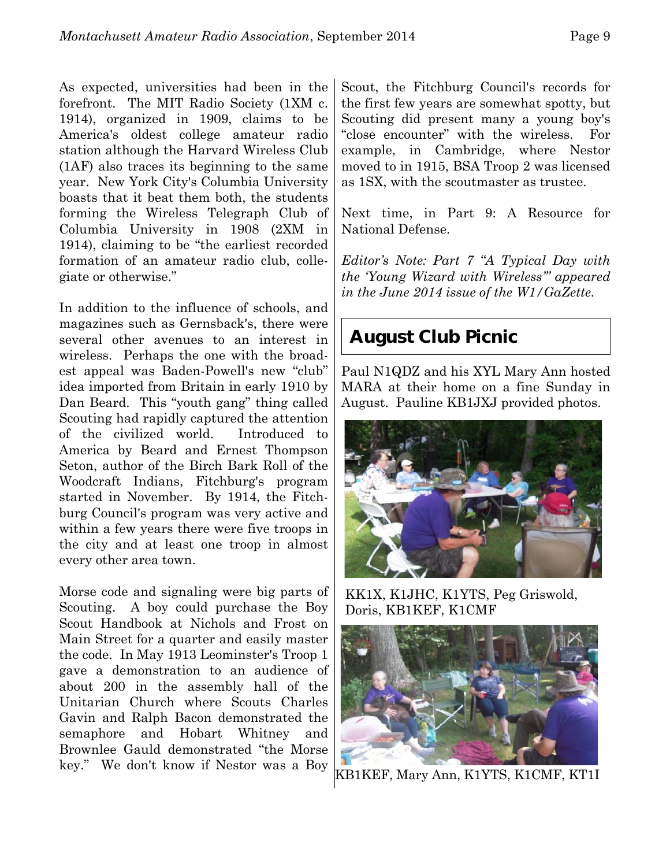As expected, universities had been in the forefront. The MIT Radio Society (1XM c. 1914), organized in 1909, claims to be America's oldest college amateur radio station although the Harvard Wireless Club (1AF) also traces its beginning to the same year. New York City's Columbia University boasts that it beat them both, the students forming the Wireless Telegraph Club of Columbia University in 1908 (2XM in 1914), claiming to be "the earliest recorded formation of an amateur radio club, collegiate or otherwise."

In addition to the influence of schools, and magazines such as Gernsback's, there were several other avenues to an interest in wireless. Perhaps the one with the broadest appeal was Baden-Powell's new "club" idea imported from Britain in early 1910 by Dan Beard. This "youth gang" thing called Scouting had rapidly captured the attention of the civilized world. Introduced to America by Beard and Ernest Thompson Seton, author of the Birch Bark Roll of the Woodcraft Indians, Fitchburg's program started in November. By 1914, the Fitchburg Council's program was very active and within a few years there were five troops in the city and at least one troop in almost every other area town.

Morse code and signaling were big parts of Scouting. A boy could purchase the Boy Scout Handbook at Nichols and Frost on Main Street for a quarter and easily master the code. In May 1913 Leominster's Troop 1 gave a demonstration to an audience of about 200 in the assembly hall of the Unitarian Church where Scouts Charles Gavin and Ralph Bacon demonstrated the semaphore and Hobart Whitney and Brownlee Gauld demonstrated "the Morse key." We don't know if Nestor was a Boy

Scout, the Fitchburg Council's records for the first few years are somewhat spotty, but Scouting did present many a young boy's "close encounter" with the wireless. For example, in Cambridge, where Nestor moved to in 1915, BSA Troop 2 was licensed as 1SX, with the scoutmaster as trustee.

Next time, in Part 9: A Resource for National Defense.

*Editor's Note: Part 7 "A Typical Day with the 'Young Wizard with Wireless'" appeared in the June 2014 issue of the W1/GaZette.*

## **August Club Picnic**

Paul N1QDZ and his XYL Mary Ann hosted MARA at their home on a fine Sunday in August. Pauline KB1JXJ provided photos.



KK1X, K1JHC, K1YTS, Peg Griswold, Doris, KB1KEF, K1CMF



KB1KEF, Mary Ann, K1YTS, K1CMF, KT1I